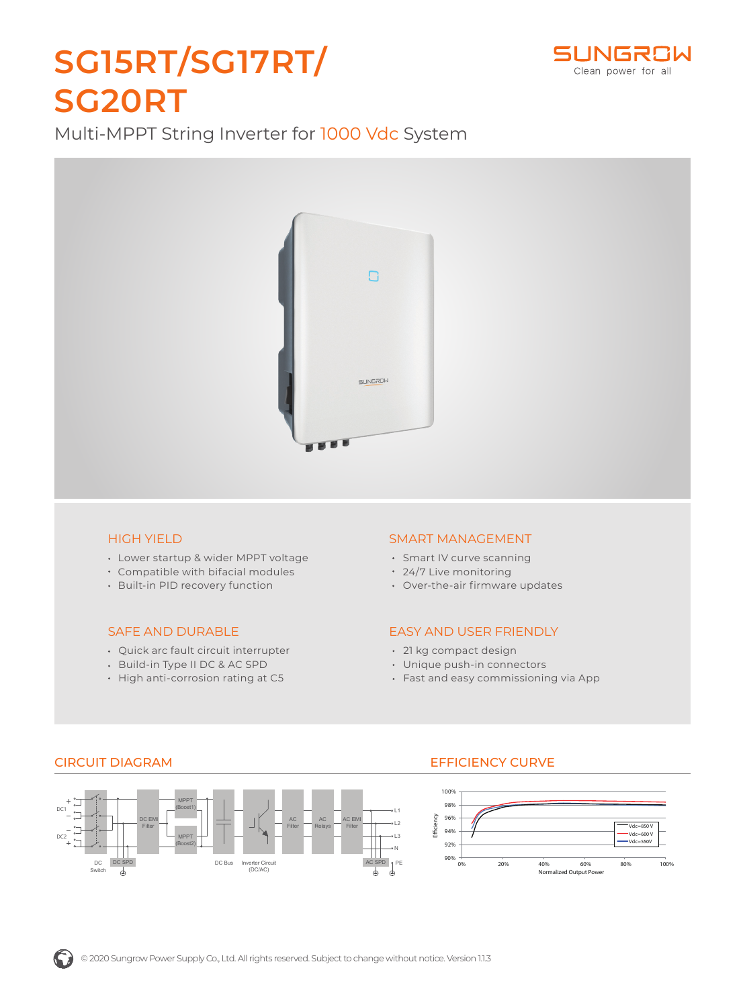### L1 AC Filter AC Relays AC EMI Filter <sup>1</sup> DC EMI Filter MPPT  $DC1$   $\qquad \qquad$   $\qquad \qquad$   $\qquad \qquad$   $\qquad \qquad$   $\qquad \qquad$   $\qquad \qquad$   $\qquad \qquad$   $\qquad \qquad$   $\qquad \qquad$   $\qquad \qquad$   $\qquad \qquad$   $\qquad \qquad$   $\qquad \qquad$   $\qquad \qquad$   $\qquad \qquad$   $\qquad \qquad$   $\qquad \qquad$   $\qquad \qquad$   $\qquad \qquad$   $\qquad \qquad$   $\qquad \qquad$   $\qquad$   $\qquad \qquad$   $\qquad \qquad$   $\q$ 96% 98% 100%

Multi-MPPT String Inverter for 1000 Vdc System

**SG15RT/SG17RT/**

**SG20RT**



DC Switch

D<sub>C2</sub>

- Lower startup & wider MPPT voltage Compatible with bifacial modules
- Built-in PID recovery function

### SAFE AND DURABLE

- Quick arc fault circuit interrupter
- Build-in Type II DC & AC SPD
- High anti-corrosion rating at C5

### SMART MANAGEMENT

- Smart IV curve scanning
- 24/7 Live monitoring
- Over-the-air firmware updates

### EASY AND USER FRIENDLY

- 21 kg compact design
- Unique push-in connectors
- Fast and easy commissioning via App

# n **SUNGROW**



# CIRCUIT DIAGRAM EFFICIENCY CURVE